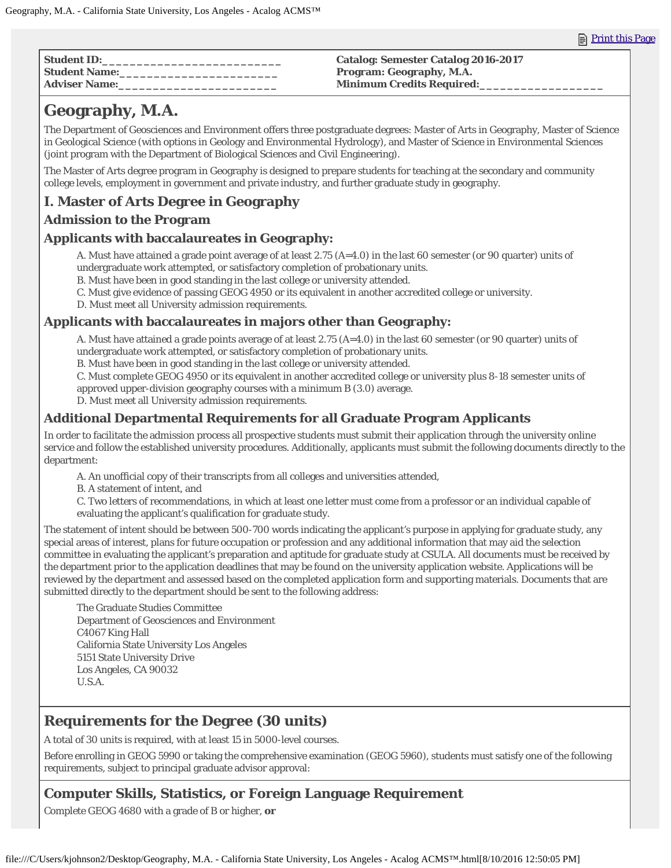| <b>Student ID:</b>     | <b>Catalog: Semester Catalog 2016-2017</b> |
|------------------------|--------------------------------------------|
| <b>  Student Name:</b> | <b>Program: Geography, M.A.</b>            |
| Adviser Name:          | <b>Minimum Credits Required:</b>           |

# **Geography, M.A.**

The Department of Geosciences and Environment offers three postgraduate degrees: Master of Arts in Geography, Master of Science in Geological Science (with options in Geology and Environmental Hydrology), and Master of Science in Environmental Sciences (joint program with the Department of Biological Sciences and Civil Engineering).

The Master of Arts degree program in Geography is designed to prepare students for teaching at the secondary and community college levels, employment in government and private industry, and further graduate study in geography.

# **I. Master of Arts Degree in Geography**

### **Admission to the Program**

#### **Applicants with baccalaureates in Geography:**

A. Must have attained a grade point average of at least 2.75 (A=4.0) in the last 60 semester (or 90 quarter) units of undergraduate work attempted, or satisfactory completion of probationary units.

B. Must have been in good standing in the last college or university attended.

C. Must give evidence of passing GEOG 4950 or its equivalent in another accredited college or university.

D. Must meet all University admission requirements.

#### **Applicants with baccalaureates in majors other than Geography:**

A. Must have attained a grade points average of at least 2.75 (A=4.0) in the last 60 semester (or 90 quarter) units of undergraduate work attempted, or satisfactory completion of probationary units.

B. Must have been in good standing in the last college or university attended.

C. Must complete GEOG 4950 or its equivalent in another accredited college or university plus 8-18 semester units of approved upper-division geography courses with a minimum B (3.0) average.

D. Must meet all University admission requirements.

### **Additional Departmental Requirements for all Graduate Program Applicants**

In order to facilitate the admission process all prospective students must submit their application through the university online service and follow the established university procedures. Additionally, applicants must submit the following documents directly to the department:

A. An unofficial copy of their transcripts from all colleges and universities attended,

B. A statement of intent, and

C. Two letters of recommendations, in which at least one letter must come from a professor or an individual capable of evaluating the applicant's qualification for graduate study.

The statement of intent should be between 500-700 words indicating the applicant's purpose in applying for graduate study, any special areas of interest, plans for future occupation or profession and any additional information that may aid the selection committee in evaluating the applicant's preparation and aptitude for graduate study at CSULA. All documents must be received by the department prior to the application deadlines that may be found on the university application website. Applications will be reviewed by the department and assessed based on the completed application form and supporting materials. Documents that are submitted directly to the department should be sent to the following address:

The Graduate Studies Committee Department of Geosciences and Environment C4067 King Hall California State University Los Angeles 5151 State University Drive Los Angeles, CA 90032 U.S.A.

# **Requirements for the Degree (30 units)**

A total of 30 units is required, with at least 15 in 5000-level courses.

Before enrolling in GEOG 5990 or taking the comprehensive examination (GEOG 5960), students must satisfy one of the following requirements, subject to principal graduate advisor approval:

### **Computer Skills, Statistics, or Foreign Language Requirement**

Complete GEOG 4680 with a grade of B or higher, **or**